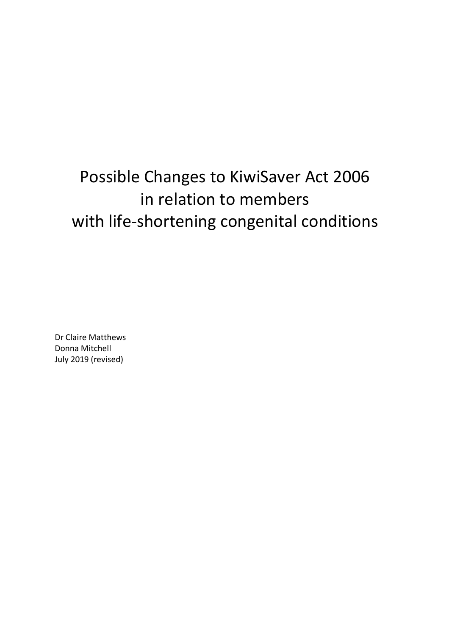# Possible Changes to KiwiSaver Act 2006 in relation to members with life-shortening congenital conditions

Dr Claire Matthews Donna Mitchell July 2019 (revised)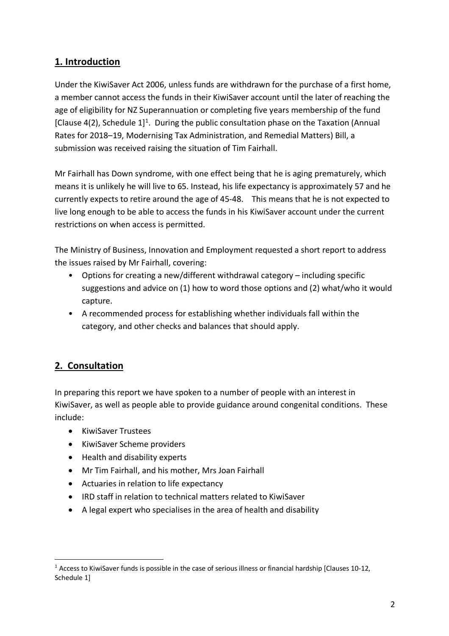# **1. Introduction**

Under the KiwiSaver Act 2006, unless funds are withdrawn for the purchase of a first home, a member cannot access the funds in their KiwiSaver account until the later of reaching the age of eligibility for NZ Superannuation or completing five years membership of the fund [Clause 4(2), Schedule  $1$ <sup>1</sup>. During the public consultation phase on the Taxation (Annual Rates for 2018–19, Modernising Tax Administration, and Remedial Matters) Bill, a submission was received raising the situation of Tim Fairhall.

Mr Fairhall has Down syndrome, with one effect being that he is aging prematurely, which means it is unlikely he will live to 65. Instead, his life expectancy is approximately 57 and he currently expects to retire around the age of 45-48. This means that he is not expected to live long enough to be able to access the funds in his KiwiSaver account under the current restrictions on when access is permitted.

The Ministry of Business, Innovation and Employment requested a short report to address the issues raised by Mr Fairhall, covering:

- Options for creating a new/different withdrawal category including specific suggestions and advice on (1) how to word those options and (2) what/who it would capture.
- A recommended process for establishing whether individuals fall within the category, and other checks and balances that should apply.

# **2. Consultation**

In preparing this report we have spoken to a number of people with an interest in KiwiSaver, as well as people able to provide guidance around congenital conditions. These include:

- KiwiSaver Trustees
- KiwiSaver Scheme providers
- Health and disability experts
- Mr Tim Fairhall, and his mother, Mrs Joan Fairhall
- Actuaries in relation to life expectancy
- IRD staff in relation to technical matters related to KiwiSaver
- A legal expert who specialises in the area of health and disability

 $1$  Access to KiwiSaver funds is possible in the case of serious illness or financial hardship [Clauses 10-12, Schedule 1]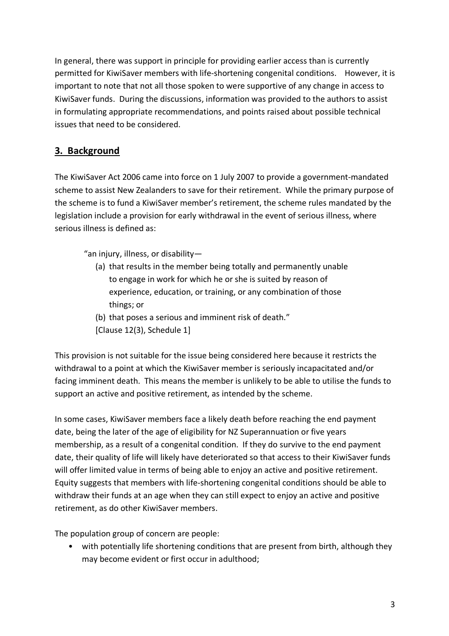In general, there was support in principle for providing earlier access than is currently permitted for KiwiSaver members with life-shortening congenital conditions. However, it is important to note that not all those spoken to were supportive of any change in access to KiwiSaver funds. During the discussions, information was provided to the authors to assist in formulating appropriate recommendations, and points raised about possible technical issues that need to be considered.

# **3. Background**

The KiwiSaver Act 2006 came into force on 1 July 2007 to provide a government-mandated scheme to assist New Zealanders to save for their retirement. While the primary purpose of the scheme is to fund a KiwiSaver member's retirement, the scheme rules mandated by the legislation include a provision for early withdrawal in the event of serious illness, where serious illness is defined as:

"an injury, illness, or disability—

- (a) that results in the member being totally and permanently unable to engage in work for which he or she is suited by reason of experience, education, or training, or any combination of those things; or
- (b) that poses a serious and imminent risk of death."
- [Clause 12(3), Schedule 1]

This provision is not suitable for the issue being considered here because it restricts the withdrawal to a point at which the KiwiSaver member is seriously incapacitated and/or facing imminent death. This means the member is unlikely to be able to utilise the funds to support an active and positive retirement, as intended by the scheme.

In some cases, KiwiSaver members face a likely death before reaching the end payment date, being the later of the age of eligibility for NZ Superannuation or five years membership, as a result of a congenital condition. If they do survive to the end payment date, their quality of life will likely have deteriorated so that access to their KiwiSaver funds will offer limited value in terms of being able to enjoy an active and positive retirement. Equity suggests that members with life-shortening congenital conditions should be able to withdraw their funds at an age when they can still expect to enjoy an active and positive retirement, as do other KiwiSaver members.

The population group of concern are people:

• with potentially life shortening conditions that are present from birth, although they may become evident or first occur in adulthood;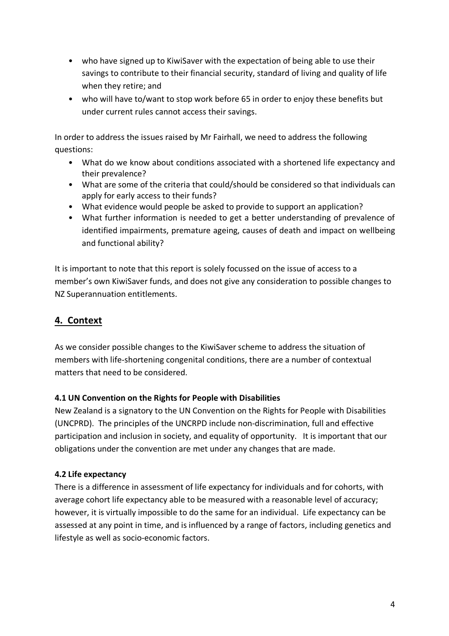- who have signed up to KiwiSaver with the expectation of being able to use their savings to contribute to their financial security, standard of living and quality of life when they retire; and
- who will have to/want to stop work before 65 in order to enjoy these benefits but under current rules cannot access their savings.

In order to address the issues raised by Mr Fairhall, we need to address the following questions:

- What do we know about conditions associated with a shortened life expectancy and their prevalence?
- What are some of the criteria that could/should be considered so that individuals can apply for early access to their funds?
- What evidence would people be asked to provide to support an application?
- What further information is needed to get a better understanding of prevalence of identified impairments, premature ageing, causes of death and impact on wellbeing and functional ability?

It is important to note that this report is solely focussed on the issue of access to a member's own KiwiSaver funds, and does not give any consideration to possible changes to NZ Superannuation entitlements.

# **4. Context**

As we consider possible changes to the KiwiSaver scheme to address the situation of members with life-shortening congenital conditions, there are a number of contextual matters that need to be considered.

# **4.1 UN Convention on the Rights for People with Disabilities**

New Zealand is a signatory to the UN Convention on the Rights for People with Disabilities (UNCPRD). The principles of the UNCRPD include non-discrimination, full and effective participation and inclusion in society, and equality of opportunity. It is important that our obligations under the convention are met under any changes that are made.

# **4.2 Life expectancy**

There is a difference in assessment of life expectancy for individuals and for cohorts, with average cohort life expectancy able to be measured with a reasonable level of accuracy; however, it is virtually impossible to do the same for an individual. Life expectancy can be assessed at any point in time, and is influenced by a range of factors, including genetics and lifestyle as well as socio-economic factors.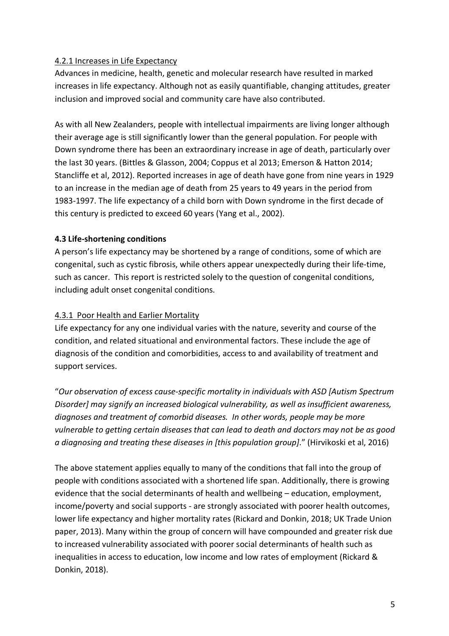## 4.2.1 Increases in Life Expectancy

Advances in medicine, health, genetic and molecular research have resulted in marked increases in life expectancy. Although not as easily quantifiable, changing attitudes, greater inclusion and improved social and community care have also contributed.

As with all New Zealanders, people with intellectual impairments are living longer although their average age is still significantly lower than the general population. For people with Down syndrome there has been an extraordinary increase in age of death, particularly over the last 30 years. (Bittles & Glasson, 2004; Coppus et al 2013; Emerson & Hatton 2014; Stancliffe et al, 2012). Reported increases in age of death have gone from nine years in 1929 to an increase in the median age of death from 25 years to 49 years in the period from 1983-1997. The life expectancy of a child born with Down syndrome in the first decade of this century is predicted to exceed 60 years (Yang et al., 2002).

## **4.3 Life-shortening conditions**

A person's life expectancy may be shortened by a range of conditions, some of which are congenital, such as cystic fibrosis, while others appear unexpectedly during their life-time, such as cancer. This report is restricted solely to the question of congenital conditions, including adult onset congenital conditions.

## 4.3.1 Poor Health and Earlier Mortality

Life expectancy for any one individual varies with the nature, severity and course of the condition, and related situational and environmental factors. These include the age of diagnosis of the condition and comorbidities, access to and availability of treatment and support services.

"*Our observation of excess cause-specific mortality in individuals with ASD [Autism Spectrum Disorder] may signify an increased biological vulnerability, as well as insufficient awareness, diagnoses and treatment of comorbid diseases. In other words, people may be more vulnerable to getting certain diseases that can lead to death and doctors may not be as good a diagnosing and treating these diseases in [this population group]*." (Hirvikoski et al, 2016)

The above statement applies equally to many of the conditions that fall into the group of people with conditions associated with a shortened life span. Additionally, there is growing evidence that the social determinants of health and wellbeing – education, employment, income/poverty and social supports - are strongly associated with poorer health outcomes, lower life expectancy and higher mortality rates (Rickard and Donkin, 2018; UK Trade Union paper, 2013). Many within the group of concern will have compounded and greater risk due to increased vulnerability associated with poorer social determinants of health such as inequalities in access to education, low income and low rates of employment (Rickard & Donkin, 2018).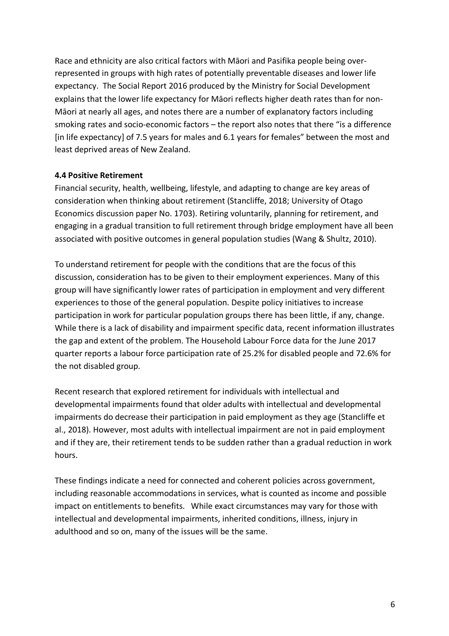Race and ethnicity are also critical factors with Māori and Pasifika people being overrepresented in groups with high rates of potentially preventable diseases and lower life expectancy. The Social Report 2016 produced by the Ministry for Social Development explains that the lower life expectancy for Māori reflects higher death rates than for non-Māori at nearly all ages, and notes there are a number of explanatory factors including smoking rates and socio-economic factors – the report also notes that there "is a difference [in life expectancy] of 7.5 years for males and 6.1 years for females" between the most and least deprived areas of New Zealand.

#### **4.4 Positive Retirement**

Financial security, health, wellbeing, lifestyle, and adapting to change are key areas of consideration when thinking about retirement (Stancliffe, 2018; University of Otago Economics discussion paper No. 1703). Retiring voluntarily, planning for retirement, and engaging in a gradual transition to full retirement through bridge employment have all been associated with positive outcomes in general population studies (Wang & Shultz, 2010).

To understand retirement for people with the conditions that are the focus of this discussion, consideration has to be given to their employment experiences. Many of this group will have significantly lower rates of participation in employment and very different experiences to those of the general population. Despite policy initiatives to increase participation in work for particular population groups there has been little, if any, change. While there is a lack of disability and impairment specific data, recent information illustrates the gap and extent of the problem. The Household Labour Force data for the June 2017 quarter reports a labour force participation rate of 25.2% for disabled people and 72.6% for the not disabled group.

Recent research that explored retirement for individuals with intellectual and developmental impairments found that older adults with intellectual and developmental impairments do decrease their participation in paid employment as they age (Stancliffe et al., 2018). However, most adults with intellectual impairment are not in paid employment and if they are, their retirement tends to be sudden rather than a gradual reduction in work hours.

These findings indicate a need for connected and coherent policies across government, including reasonable accommodations in services, what is counted as income and possible impact on entitlements to benefits. While exact circumstances may vary for those with intellectual and developmental impairments, inherited conditions, illness, injury in adulthood and so on, many of the issues will be the same.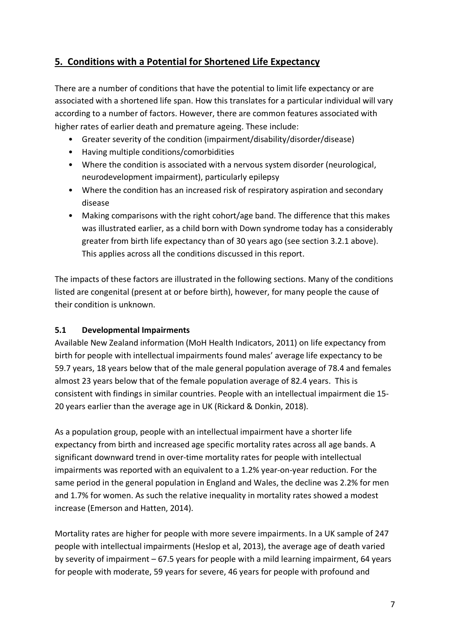# **5. Conditions with a Potential for Shortened Life Expectancy**

There are a number of conditions that have the potential to limit life expectancy or are associated with a shortened life span. How this translates for a particular individual will vary according to a number of factors. However, there are common features associated with higher rates of earlier death and premature ageing. These include:

- Greater severity of the condition (impairment/disability/disorder/disease)
- Having multiple conditions/comorbidities
- Where the condition is associated with a nervous system disorder (neurological, neurodevelopment impairment), particularly epilepsy
- Where the condition has an increased risk of respiratory aspiration and secondary disease
- Making comparisons with the right cohort/age band. The difference that this makes was illustrated earlier, as a child born with Down syndrome today has a considerably greater from birth life expectancy than of 30 years ago (see section 3.2.1 above). This applies across all the conditions discussed in this report.

The impacts of these factors are illustrated in the following sections. Many of the conditions listed are congenital (present at or before birth), however, for many people the cause of their condition is unknown.

# **5.1 Developmental Impairments**

Available New Zealand information (MoH Health Indicators, 2011) on life expectancy from birth for people with intellectual impairments found males' average life expectancy to be 59.7 years, 18 years below that of the male general population average of 78.4 and females almost 23 years below that of the female population average of 82.4 years. This is consistent with findings in similar countries. People with an intellectual impairment die 15- 20 years earlier than the average age in UK (Rickard & Donkin, 2018).

As a population group, people with an intellectual impairment have a shorter life expectancy from birth and increased age specific mortality rates across all age bands. A significant downward trend in over-time mortality rates for people with intellectual impairments was reported with an equivalent to a 1.2% year-on-year reduction. For the same period in the general population in England and Wales, the decline was 2.2% for men and 1.7% for women. As such the relative inequality in mortality rates showed a modest increase (Emerson and Hatten, 2014).

Mortality rates are higher for people with more severe impairments. In a UK sample of 247 people with intellectual impairments (Heslop et al, 2013), the average age of death varied by severity of impairment – 67.5 years for people with a mild learning impairment, 64 years for people with moderate, 59 years for severe, 46 years for people with profound and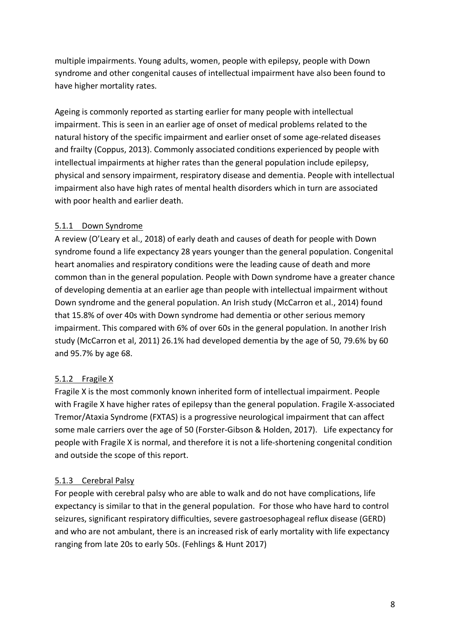multiple impairments. Young adults, women, people with epilepsy, people with Down syndrome and other congenital causes of intellectual impairment have also been found to have higher mortality rates.

Ageing is commonly reported as starting earlier for many people with intellectual impairment. This is seen in an earlier age of onset of medical problems related to the natural history of the specific impairment and earlier onset of some age-related diseases and frailty (Coppus, 2013). Commonly associated conditions experienced by people with intellectual impairments at higher rates than the general population include epilepsy, physical and sensory impairment, respiratory disease and dementia. People with intellectual impairment also have high rates of mental health disorders which in turn are associated with poor health and earlier death.

## 5.1.1 Down Syndrome

A review (O'Leary et al., 2018) of early death and causes of death for people with Down syndrome found a life expectancy 28 years younger than the general population. Congenital heart anomalies and respiratory conditions were the leading cause of death and more common than in the general population. People with Down syndrome have a greater chance of developing dementia at an earlier age than people with intellectual impairment without Down syndrome and the general population. An Irish study (McCarron et al., 2014) found that 15.8% of over 40s with Down syndrome had dementia or other serious memory impairment. This compared with 6% of over 60s in the general population. In another Irish study (McCarron et al, 2011) 26.1% had developed dementia by the age of 50, 79.6% by 60 and 95.7% by age 68.

# 5.1.2 Fragile X

Fragile X is the most commonly known inherited form of intellectual impairment. People with Fragile X have higher rates of epilepsy than the general population. Fragile X-associated Tremor/Ataxia Syndrome (FXTAS) is a progressive neurological impairment that can affect some male carriers over the age of 50 (Forster-Gibson & Holden, 2017). Life expectancy for people with Fragile X is normal, and therefore it is not a life-shortening congenital condition and outside the scope of this report.

#### 5.1.3 Cerebral Palsy

For people with cerebral palsy who are able to walk and do not have complications, life expectancy is similar to that in the general population. For those who have hard to control seizures, significant respiratory difficulties, severe gastroesophageal reflux disease (GERD) and who are not ambulant, there is an increased risk of early mortality with life expectancy ranging from late 20s to early 50s. (Fehlings & Hunt 2017)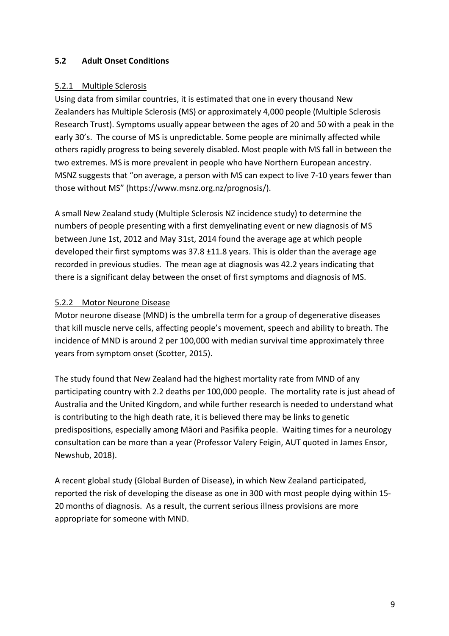## **5.2 Adult Onset Conditions**

#### 5.2.1 Multiple Sclerosis

Using data from similar countries, it is estimated that one in every thousand New Zealanders has Multiple Sclerosis (MS) or approximately 4,000 people (Multiple Sclerosis Research Trust). Symptoms usually appear between the ages of 20 and 50 with a peak in the early 30's. The course of MS is unpredictable. Some people are minimally affected while others rapidly progress to being severely disabled. Most people with MS fall in between the two extremes. MS is more prevalent in people who have Northern European ancestry. MSNZ suggests that "on average, a person with MS can expect to live 7-10 years fewer than those without MS" (https://www.msnz.org.nz/prognosis/).

A small New Zealand study (Multiple Sclerosis NZ incidence study) to determine the numbers of people presenting with a first demyelinating event or new diagnosis of MS between June 1st, 2012 and May 31st, 2014 found the average age at which people developed their first symptoms was 37.8 ±11.8 years. This is older than the average age recorded in previous studies. The mean age at diagnosis was 42.2 years indicating that there is a significant delay between the onset of first symptoms and diagnosis of MS.

#### 5.2.2 Motor Neurone Disease

Motor neurone disease (MND) is the umbrella term for a group of degenerative diseases that kill muscle nerve cells, affecting people's movement, speech and ability to breath. The incidence of MND is around 2 per 100,000 with median survival time approximately three years from symptom onset (Scotter, 2015).

The study found that New Zealand had the highest mortality rate from MND of any participating country with 2.2 deaths per 100,000 people. The mortality rate is just ahead of Australia and the United Kingdom, and while further research is needed to understand what is contributing to the high death rate, it is believed there may be links to genetic predispositions, especially among Māori and Pasifika people. Waiting times for a neurology consultation can be more than a year (Professor Valery Feigin, AUT quoted in James Ensor, Newshub, 2018).

A recent global study (Global Burden of Disease), in which New Zealand participated, reported the risk of developing the disease as one in 300 with most people dying within 15- 20 months of diagnosis. As a result, the current serious illness provisions are more appropriate for someone with MND.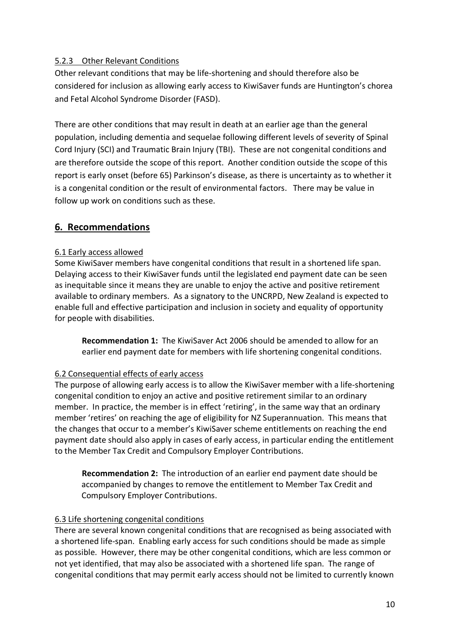# 5.2.3 Other Relevant Conditions

Other relevant conditions that may be life-shortening and should therefore also be considered for inclusion as allowing early access to KiwiSaver funds are Huntington's chorea and Fetal Alcohol Syndrome Disorder (FASD).

There are other conditions that may result in death at an earlier age than the general population, including dementia and sequelae following different levels of severity of Spinal Cord Injury (SCI) and Traumatic Brain Injury (TBI). These are not congenital conditions and are therefore outside the scope of this report. Another condition outside the scope of this report is early onset (before 65) Parkinson's disease, as there is uncertainty as to whether it is a congenital condition or the result of environmental factors. There may be value in follow up work on conditions such as these.

# **6. Recommendations**

#### 6.1 Early access allowed

Some KiwiSaver members have congenital conditions that result in a shortened life span. Delaying access to their KiwiSaver funds until the legislated end payment date can be seen as inequitable since it means they are unable to enjoy the active and positive retirement available to ordinary members. As a signatory to the UNCRPD, New Zealand is expected to enable full and effective participation and inclusion in society and equality of opportunity for people with disabilities.

**Recommendation 1:** The KiwiSaver Act 2006 should be amended to allow for an earlier end payment date for members with life shortening congenital conditions.

#### 6.2 Consequential effects of early access

The purpose of allowing early access is to allow the KiwiSaver member with a life-shortening congenital condition to enjoy an active and positive retirement similar to an ordinary member. In practice, the member is in effect 'retiring', in the same way that an ordinary member 'retires' on reaching the age of eligibility for NZ Superannuation. This means that the changes that occur to a member's KiwiSaver scheme entitlements on reaching the end payment date should also apply in cases of early access, in particular ending the entitlement to the Member Tax Credit and Compulsory Employer Contributions.

**Recommendation 2:** The introduction of an earlier end payment date should be accompanied by changes to remove the entitlement to Member Tax Credit and Compulsory Employer Contributions.

#### 6.3 Life shortening congenital conditions

There are several known congenital conditions that are recognised as being associated with a shortened life-span. Enabling early access for such conditions should be made as simple as possible. However, there may be other congenital conditions, which are less common or not yet identified, that may also be associated with a shortened life span. The range of congenital conditions that may permit early access should not be limited to currently known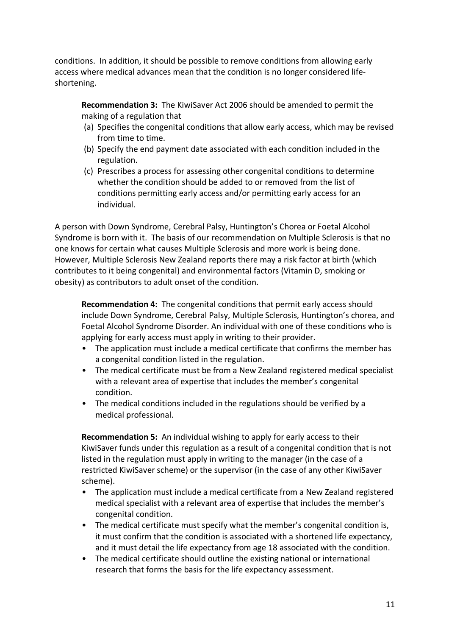conditions. In addition, it should be possible to remove conditions from allowing early access where medical advances mean that the condition is no longer considered lifeshortening.

**Recommendation 3:** The KiwiSaver Act 2006 should be amended to permit the making of a regulation that

- (a) Specifies the congenital conditions that allow early access, which may be revised from time to time.
- (b) Specify the end payment date associated with each condition included in the regulation.
- (c) Prescribes a process for assessing other congenital conditions to determine whether the condition should be added to or removed from the list of conditions permitting early access and/or permitting early access for an individual.

A person with Down Syndrome, Cerebral Palsy, Huntington's Chorea or Foetal Alcohol Syndrome is born with it. The basis of our recommendation on Multiple Sclerosis is that no one knows for certain what causes Multiple Sclerosis and more work is being done. However, Multiple Sclerosis New Zealand reports there may a risk factor at birth (which contributes to it being congenital) and environmental factors (Vitamin D, smoking or obesity) as contributors to adult onset of the condition.

**Recommendation 4:** The congenital conditions that permit early access should include Down Syndrome, Cerebral Palsy, Multiple Sclerosis, Huntington's chorea, and Foetal Alcohol Syndrome Disorder. An individual with one of these conditions who is applying for early access must apply in writing to their provider.

- The application must include a medical certificate that confirms the member has a congenital condition listed in the regulation.
- The medical certificate must be from a New Zealand registered medical specialist with a relevant area of expertise that includes the member's congenital condition.
- The medical conditions included in the regulations should be verified by a medical professional.

**Recommendation 5:** An individual wishing to apply for early access to their KiwiSaver funds under this regulation as a result of a congenital condition that is not listed in the regulation must apply in writing to the manager (in the case of a restricted KiwiSaver scheme) or the supervisor (in the case of any other KiwiSaver scheme).

- The application must include a medical certificate from a New Zealand registered medical specialist with a relevant area of expertise that includes the member's congenital condition.
- The medical certificate must specify what the member's congenital condition is, it must confirm that the condition is associated with a shortened life expectancy, and it must detail the life expectancy from age 18 associated with the condition.
- The medical certificate should outline the existing national or international research that forms the basis for the life expectancy assessment.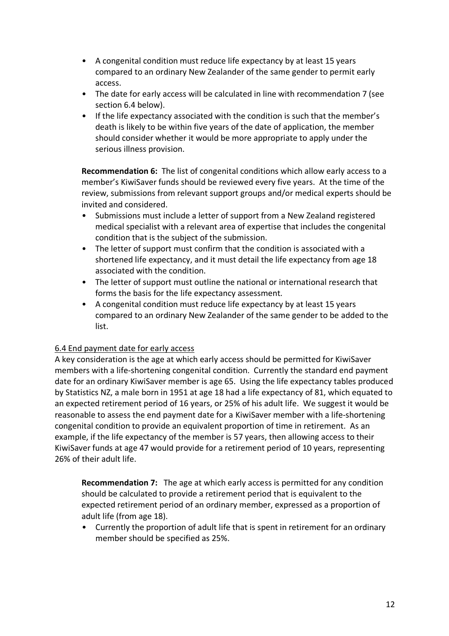- A congenital condition must reduce life expectancy by at least 15 years compared to an ordinary New Zealander of the same gender to permit early access.
- The date for early access will be calculated in line with recommendation 7 (see section 6.4 below).
- If the life expectancy associated with the condition is such that the member's death is likely to be within five years of the date of application, the member should consider whether it would be more appropriate to apply under the serious illness provision.

**Recommendation 6:** The list of congenital conditions which allow early access to a member's KiwiSaver funds should be reviewed every five years. At the time of the review, submissions from relevant support groups and/or medical experts should be invited and considered.

- Submissions must include a letter of support from a New Zealand registered medical specialist with a relevant area of expertise that includes the congenital condition that is the subject of the submission.
- The letter of support must confirm that the condition is associated with a shortened life expectancy, and it must detail the life expectancy from age 18 associated with the condition.
- The letter of support must outline the national or international research that forms the basis for the life expectancy assessment.
- A congenital condition must reduce life expectancy by at least 15 years compared to an ordinary New Zealander of the same gender to be added to the list.

# 6.4 End payment date for early access

A key consideration is the age at which early access should be permitted for KiwiSaver members with a life-shortening congenital condition. Currently the standard end payment date for an ordinary KiwiSaver member is age 65. Using the life expectancy tables produced by Statistics NZ, a male born in 1951 at age 18 had a life expectancy of 81, which equated to an expected retirement period of 16 years, or 25% of his adult life. We suggest it would be reasonable to assess the end payment date for a KiwiSaver member with a life-shortening congenital condition to provide an equivalent proportion of time in retirement. As an example, if the life expectancy of the member is 57 years, then allowing access to their KiwiSaver funds at age 47 would provide for a retirement period of 10 years, representing 26% of their adult life.

**Recommendation 7:** The age at which early access is permitted for any condition should be calculated to provide a retirement period that is equivalent to the expected retirement period of an ordinary member, expressed as a proportion of adult life (from age 18).

• Currently the proportion of adult life that is spent in retirement for an ordinary member should be specified as 25%.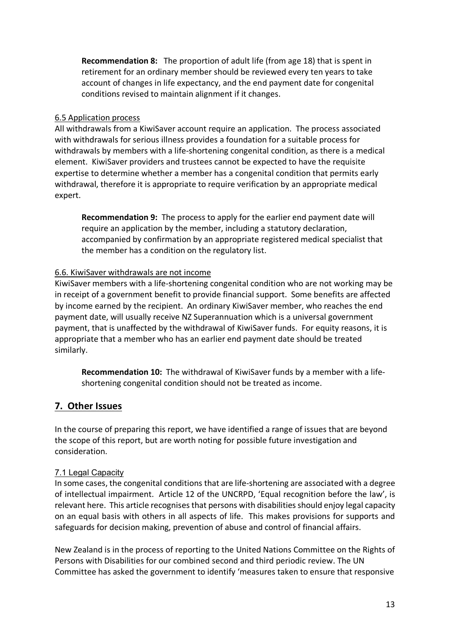**Recommendation 8:** The proportion of adult life (from age 18) that is spent in retirement for an ordinary member should be reviewed every ten years to take account of changes in life expectancy, and the end payment date for congenital conditions revised to maintain alignment if it changes.

#### 6.5 Application process

All withdrawals from a KiwiSaver account require an application. The process associated with withdrawals for serious illness provides a foundation for a suitable process for withdrawals by members with a life-shortening congenital condition, as there is a medical element. KiwiSaver providers and trustees cannot be expected to have the requisite expertise to determine whether a member has a congenital condition that permits early withdrawal, therefore it is appropriate to require verification by an appropriate medical expert.

**Recommendation 9:** The process to apply for the earlier end payment date will require an application by the member, including a statutory declaration, accompanied by confirmation by an appropriate registered medical specialist that the member has a condition on the regulatory list.

#### 6.6. KiwiSaver withdrawals are not income

KiwiSaver members with a life-shortening congenital condition who are not working may be in receipt of a government benefit to provide financial support. Some benefits are affected by income earned by the recipient. An ordinary KiwiSaver member, who reaches the end payment date, will usually receive NZ Superannuation which is a universal government payment, that is unaffected by the withdrawal of KiwiSaver funds. For equity reasons, it is appropriate that a member who has an earlier end payment date should be treated similarly.

**Recommendation 10:** The withdrawal of KiwiSaver funds by a member with a lifeshortening congenital condition should not be treated as income.

# **7. Other Issues**

In the course of preparing this report, we have identified a range of issues that are beyond the scope of this report, but are worth noting for possible future investigation and consideration.

#### 7.1 Legal Capacity

In some cases, the congenital conditions that are life-shortening are associated with a degree of intellectual impairment. Article 12 of the UNCRPD, 'Equal recognition before the law', is relevant here. This article recognises that persons with disabilities should enjoy legal capacity on an equal basis with others in all aspects of life. This makes provisions for supports and safeguards for decision making, prevention of abuse and control of financial affairs.

New Zealand is in the process of reporting to the United Nations Committee on the Rights of Persons with Disabilities for our combined second and third periodic review. The UN Committee has asked the government to identify 'measures taken to ensure that responsive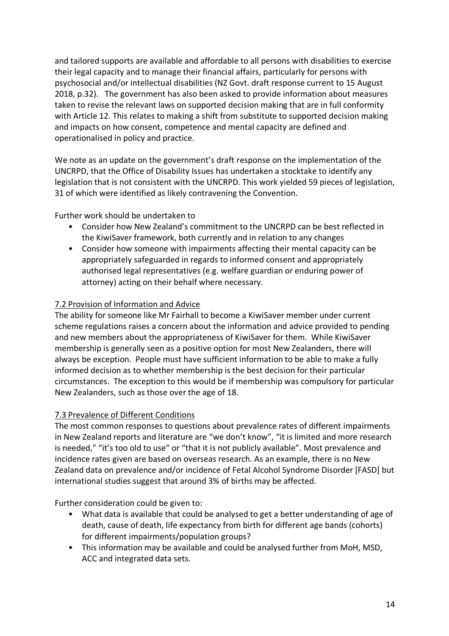and tailored supports are available and affordable to all persons with disabilities to exercise their legal capacity and to manage their financial affairs, particularly for persons with psychosocial and/or intellectual disabilities (NZ Govt. draft response current to 15 August 2018, p.32). The government has also been asked to provide information about measures taken to revise the relevant laws on supported decision making that are in full conformity with Article 12. This relates to making a shift from substitute to supported decision making and impacts on how consent, competence and mental capacity are defined and operationalised in policy and practice.

We note as an update on the government's draft response on the implementation of the UNCRPD, that the Office of Disability Issues has undertaken a stocktake to identify any legislation that is not consistent with the UNCRPD. This work yielded 59 pieces of legislation, 31 of which were identified as likely contravening the Convention.

Further work should be undertaken to

- Consider how New Zealand's commitment to the UNCRPD can be best reflected in the KiwiSaver framework, both currently and in relation to any changes
- Consider how someone with impairments affecting their mental capacity can be appropriately safeguarded in regards to informed consent and appropriately authorised legal representatives (e.g. welfare guardian or enduring power of attorney) acting on their behalf where necessary.

# 7.2 Provision of Information and Advice

The ability for someone like Mr Fairhall to become a KiwiSaver member under current scheme regulations raises a concern about the information and advice provided to pending and new members about the appropriateness of KiwiSaver for them. While KiwiSaver membership is generally seen as a positive option for most New Zealanders, there will always be exception. People must have sufficient information to be able to make a fully informed decision as to whether membership is the best decision for their particular circumstances. The exception to this would be if membership was compulsory for particular New Zealanders, such as those over the age of 18.

#### 7.3 Prevalence of Different Conditions

The most common responses to questions about prevalence rates of different impairments in New Zealand reports and literature are "we don't know", "it is limited and more research is needed," "it's too old to use" or "that it is not publicly available". Most prevalence and incidence rates given are based on overseas research. As an example, there is no New Zealand data on prevalence and/or incidence of Fetal Alcohol Syndrome Disorder [FASD] but international studies suggest that around 3% of births may be affected.

Further consideration could be given to:

- What data is available that could be analysed to get a better understanding of age of death, cause of death, life expectancy from birth for different age bands (cohorts) for different impairments/population groups?
- This information may be available and could be analysed further from MoH, MSD, ACC and integrated data sets.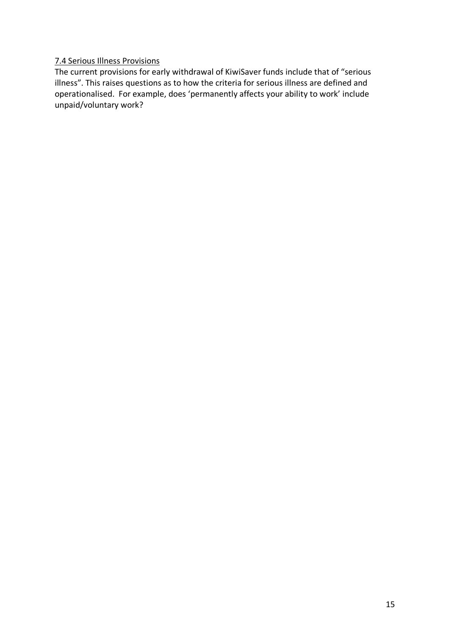#### 7.4 Serious Illness Provisions

The current provisions for early withdrawal of KiwiSaver funds include that of "serious illness". This raises questions as to how the criteria for serious illness are defined and operationalised. For example, does 'permanently affects your ability to work' include unpaid/voluntary work?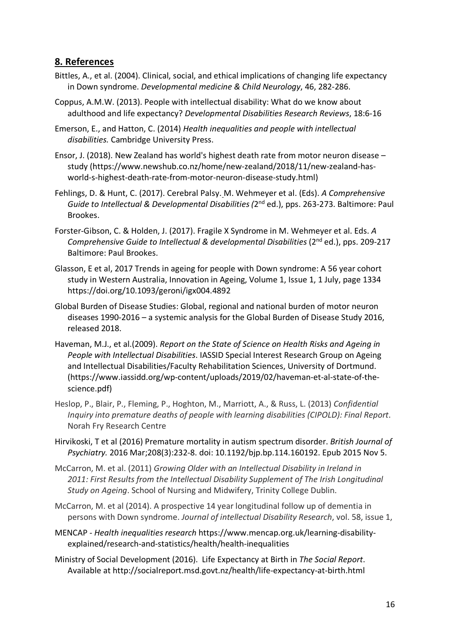# **8. References**

- Bittles, A., et al. (2004). Clinical, social, and ethical implications of changing life expectancy in Down syndrome. *Developmental medicine & Child Neurology*, 46, 282-286.
- Coppus, A.M.W. (2013). People with intellectual disability: What do we know about adulthood and life expectancy? *Developmental Disabilities Research Reviews*, 18:6-16

Emerson, E., and Hatton, C. (2014) *Health inequalities and people with intellectual disabilities.* Cambridge University Press.

- Ensor, J. (2018). New Zealand has world's highest death rate from motor neuron disease study (https://www.newshub.co.nz/home/new-zealand/2018/11/new-zealand-hasworld-s-highest-death-rate-from-motor-neuron-disease-study.html)
- Fehlings, D. & Hunt, C. (2017). Cerebral Palsy. M. Wehmeyer et al. (Eds). *A Comprehensive Guide to Intellectual & Developmental Disabilities (*2nd ed.), pps. 263-273. Baltimore: Paul Brookes.
- Forster-Gibson, C. & Holden, J. (2017). Fragile X Syndrome in M. Wehmeyer et al. Eds. *A Comprehensive Guide to Intellectual & developmental Disabilities* (2nd ed.), pps. 209-217 Baltimore: Paul Brookes.
- Glasson, E et al, 2017 Trends in ageing for people with Down syndrome: A 56 year cohort study in Western Australia, Innovation in Ageing, Volume 1, Issue 1, 1 July, page 1334 https://doi.org/10.1093/geroni/igx004.4892
- Global Burden of Disease Studies: Global, regional and national burden of motor neuron diseases 1990-2016 – a systemic analysis for the Global Burden of Disease Study 2016, released 2018.
- Haveman, M.J., et al.(2009). *Report on the State of Science on Health Risks and Ageing in People with Intellectual Disabilities*. IASSID Special Interest Research Group on Ageing and Intellectual Disabilities/Faculty Rehabilitation Sciences, University of Dortmund. (https://www.iassidd.org/wp-content/uploads/2019/02/haveman-et-al-state-of-thescience.pdf)
- Heslop, P., Blair, P., Fleming, P., Hoghton, M., Marriott, A., & Russ, L. (2013) *Confidential Inquiry into premature deaths of people with learning disabilities (CIPOLD): Final Report*. Norah Fry Research Centre
- Hirvikoski, T et al (2016) Premature mortality in autism spectrum disorder. *British Journal of Psychiatry.* 2016 Mar;208(3):232-8. doi: 10.1192/bjp.bp.114.160192. Epub 2015 Nov 5.
- McCarron, M. et al. (2011) *Growing Older with an Intellectual Disability in Ireland in 2011: First Results from the Intellectual Disability Supplement of The Irish Longitudinal Study on Ageing*. School of Nursing and Midwifery, Trinity College Dublin.
- McCarron, M. et al (2014). A prospective 14 year longitudinal follow up of dementia in persons with Down syndrome. *Journal of intellectual Disability Research*, vol. 58, issue 1,
- MENCAP *Health inequalities research* https://www.mencap.org.uk/learning-disabilityexplained/research-and-statistics/health/health-inequalities
- Ministry of Social Development (2016). Life Expectancy at Birth in *The Social Report*. Available at http://socialreport.msd.govt.nz/health/life-expectancy-at-birth.html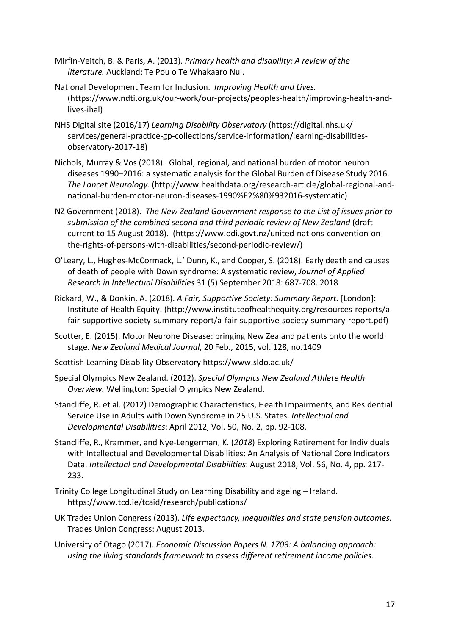- Mirfin-Veitch, B. & Paris, A. (2013). *Primary health and disability: A review of the literature.* Auckland: Te Pou o Te Whakaaro Nui.
- National Development Team for Inclusion. *Improving Health and Lives.* (https://www.ndti.org.uk/our-work/our-projects/peoples-health/improving-health-andlives-ihal)
- NHS Digital site (2016/17) *Learning Disability Observatory* (https://digital.nhs.uk/ services/general-practice-gp-collections/service-information/learning-disabilitiesobservatory-2017-18)
- Nichols, Murray & Vos (2018). Global, regional, and national burden of motor neuron diseases 1990–2016: a systematic analysis for the Global Burden of Disease Study 2016. *The Lancet Neurology.* (http://www.healthdata.org/research-article/global-regional-andnational-burden-motor-neuron-diseases-1990%E2%80%932016-systematic)
- NZ Government (2018). *The New Zealand Government response to the List of issues prior to submission of the combined second and third periodic review of New Zealand* (draft current to 15 August 2018). (https://www.odi.govt.nz/united-nations-convention-onthe-rights-of-persons-with-disabilities/second-periodic-review/)
- O'Leary, L., Hughes-McCormack, L.' Dunn, K., and Cooper, S. (2018). Early death and causes of death of people with Down syndrome: A systematic review, *Journal of Applied Research in Intellectual Disabilities* 31 (5) September 2018: 687-708. 2018
- Rickard, W., & Donkin, A. (2018). *A Fair, Supportive Society: Summary Report.* [London]: Institute of Health Equity. (http://www.instituteofhealthequity.org/resources-reports/afair-supportive-society-summary-report/a-fair-supportive-society-summary-report.pdf)
- Scotter, E. (2015). Motor Neurone Disease: bringing New Zealand patients onto the world stage. *New Zealand Medical Journal*, 20 Feb., 2015, vol. 128, no.1409
- Scottish Learning Disability Observatory https://www.sldo.ac.uk/
- Special Olympics New Zealand. (2012). *Special Olympics New Zealand Athlete Health Overview.* Wellington: Special Olympics New Zealand.
- Stancliffe, R. et al. (2012) Demographic Characteristics, Health Impairments, and Residential Service Use in Adults with Down Syndrome in 25 U.S. States. *Intellectual and Developmental Disabilities*: April 2012, Vol. 50, No. 2, pp. 92-108.
- Stancliffe, R., Krammer, and Nye-Lengerman, K. (*2018*) Exploring Retirement for Individuals with Intellectual and Developmental Disabilities: An Analysis of National Core Indicators Data. *Intellectual and Developmental Disabilities*: August 2018, Vol. 56, No. 4, pp. 217- 233.
- Trinity College Longitudinal Study on Learning Disability and ageing Ireland. https://www.tcd.ie/tcaid/research/publications/
- UK Trades Union Congress (2013). *Life expectancy, inequalities and state pension outcomes.*  Trades Union Congress: August 2013.
- University of Otago (2017). *Economic Discussion Papers N. 1703: A balancing approach: using the living standards framework to assess different retirement income policies*.